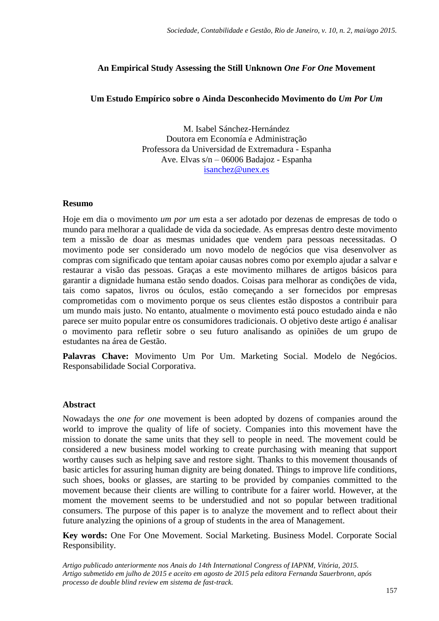# **An Empirical Study Assessing the Still Unknown** *One For One* **Movement**

## **Um Estudo Empírico sobre o Ainda Desconhecido Movimento do** *Um Por Um*

M. Isabel Sánchez-Hernández Doutora em Economía e Administração Professora da Universidad de Extremadura - Espanha Ave. Elvas s/n – 06006 Badajoz - Espanha [isanchez@unex.es](mailto:isanchez@unex.es)

## **Resumo**

Hoje em dia o movimento *um por um* esta a ser adotado por dezenas de empresas de todo o mundo para melhorar a qualidade de vida da sociedade. As empresas dentro deste movimento tem a missão de doar as mesmas unidades que vendem para pessoas necessitadas. O movimento pode ser considerado um novo modelo de negócios que visa desenvolver as compras com significado que tentam apoiar causas nobres como por exemplo ajudar a salvar e restaurar a visão das pessoas. Graças a este movimento milhares de artigos básicos para garantir a dignidade humana estão sendo doados. Coisas para melhorar as condições de vida, tais como sapatos, livros ou óculos, estão começando a ser fornecidos por empresas comprometidas com o movimento porque os seus clientes estão dispostos a contribuir para um mundo mais justo. No entanto, atualmente o movimento está pouco estudado ainda e não parece ser muito popular entre os consumidores tradicionais. O objetivo deste artigo é analisar o movimento para refletir sobre o seu futuro analisando as opiniões de um grupo de estudantes na área de Gestão.

**Palavras Chave:** Movimento Um Por Um. Marketing Social. Modelo de Negócios. Responsabilidade Social Corporativa.

## **Abstract**

Nowadays the *one for one* movement is been adopted by dozens of companies around the world to improve the quality of life of society. Companies into this movement have the mission to donate the same units that they sell to people in need. The movement could be considered a new business model working to create purchasing with meaning that support worthy causes such as helping save and restore sight. Thanks to this movement thousands of basic articles for assuring human dignity are being donated. Things to improve life conditions, such shoes, books or glasses, are starting to be provided by companies committed to the movement because their clients are willing to contribute for a fairer world. However, at the moment the movement seems to be understudied and not so popular between traditional consumers. The purpose of this paper is to analyze the movement and to reflect about their future analyzing the opinions of a group of students in the area of Management.

**Key words:** One For One Movement. Social Marketing. Business Model. Corporate Social Responsibility.

*Artigo publicado anteriormente nos Anais do 14th International Congress of IAPNM, Vitória, 2015. Artigo submetido em julho de 2015 e aceito em agosto de 2015 pela editora Fernanda Sauerbronn, após processo de double blind review em sistema de fast-track.*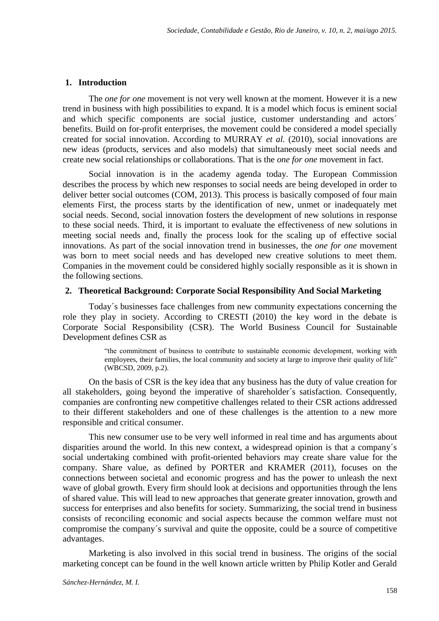### **1. Introduction**

The *one for one* movement is not very well known at the moment. However it is a new trend in business with high possibilities to expand. It is a model which focus is eminent social and which specific components are social justice, customer understanding and actors´ benefits. Build on for-profit enterprises, the movement could be considered a model specially created for social innovation. According to MURRAY *et al.* (2010), social innovations are new ideas (products, services and also models) that simultaneously meet social needs and create new social relationships or collaborations. That is the *one for one* movement in fact.

Social innovation is in the academy agenda today. The European Commission describes the process by which new responses to social needs are being developed in order to deliver better social outcomes (COM, 2013). This process is basically composed of four main elements First, the process starts by the identification of new, unmet or inadequately met social needs. Second, social innovation fosters the development of new solutions in response to these social needs. Third, it is important to evaluate the effectiveness of new solutions in meeting social needs and, finally the process look for the scaling up of effective social innovations. As part of the social innovation trend in businesses, the *one for one* movement was born to meet social needs and has developed new creative solutions to meet them. Companies in the movement could be considered highly socially responsible as it is shown in the following sections.

#### **2. Theoretical Background: Corporate Social Responsibility And Social Marketing**

Today´s businesses face challenges from new community expectations concerning the role they play in society. According to CRESTI (2010) the key word in the debate is Corporate Social Responsibility (CSR). The World Business Council for Sustainable Development defines CSR as

> "the commitment of business to contribute to sustainable economic development, working with employees, their families, the local community and society at large to improve their quality of life" (WBCSD, 2009, p.2).

On the basis of CSR is the key idea that any business has the duty of value creation for all stakeholders, going beyond the imperative of shareholder´s satisfaction. Consequently, companies are confronting new competitive challenges related to their CSR actions addressed to their different stakeholders and one of these challenges is the attention to a new more responsible and critical consumer.

This new consumer use to be very well informed in real time and has arguments about disparities around the world. In this new context, a widespread opinion is that a company´s social undertaking combined with profit-oriented behaviors may create share value for the company. Share value, as defined by PORTER and KRAMER (2011), focuses on the connections between societal and economic progress and has the power to unleash the next wave of global growth. Every firm should look at decisions and opportunities through the lens of shared value. This will lead to new approaches that generate greater innovation, growth and success for enterprises and also benefits for society. Summarizing, the social trend in business consists of reconciling economic and social aspects because the common welfare must not compromise the company´s survival and quite the opposite, could be a source of competitive advantages.

Marketing is also involved in this social trend in business. The origins of the social marketing concept can be found in the well known article written by Philip Kotler and Gerald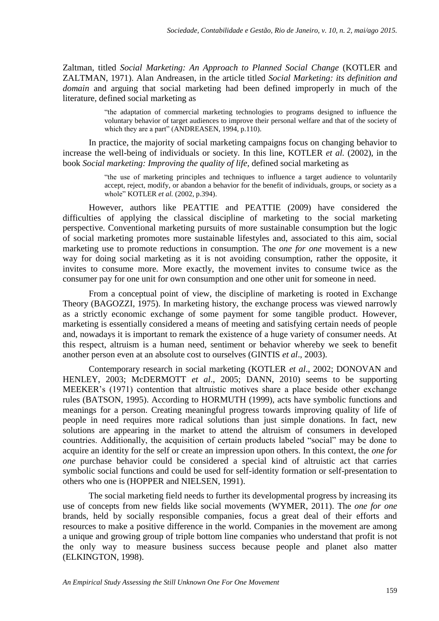Zaltman, titled *Social Marketing: An Approach to Planned Social Change* (KOTLER and ZALTMAN, 1971). Alan Andreasen, in the article titled *Social Marketing: its definition and domain* and arguing that social marketing had been defined improperly in much of the literature, defined social marketing as

> "the adaptation of commercial marketing technologies to programs designed to influence the voluntary behavior of target audiences to improve their personal welfare and that of the society of which they are a part" (ANDREASEN, 1994, p.110).

In practice, the majority of social marketing campaigns focus on changing behavior to increase the well-being of individuals or society. In this line, KOTLER *et al.* (2002), in the book *Social marketing: Improving the quality of life,* defined social marketing as

> "the use of marketing principles and techniques to influence a target audience to voluntarily accept, reject, modify, or abandon a behavior for the benefit of individuals, groups, or society as a whole" KOTLER *et al.* (2002, p.394).

However, authors like PEATTIE and PEATTIE (2009) have considered the difficulties of applying the classical discipline of marketing to the social marketing perspective. Conventional marketing pursuits of more sustainable consumption but the logic of social marketing promotes more sustainable lifestyles and, associated to this aim, social marketing use to promote reductions in consumption. The *one for one* movement is a new way for doing social marketing as it is not avoiding consumption, rather the opposite, it invites to consume more. More exactly, the movement invites to consume twice as the consumer pay for one unit for own consumption and one other unit for someone in need.

From a conceptual point of view, the discipline of marketing is rooted in Exchange Theory (BAGOZZI, 1975). In marketing history, the exchange process was viewed narrowly as a strictly economic exchange of some payment for some tangible product. However, marketing is essentially considered a means of meeting and satisfying certain needs of people and, nowadays it is important to remark the existence of a huge variety of consumer needs. At this respect, altruism is a human need, sentiment or behavior whereby we seek to benefit another person even at an absolute cost to ourselves (GINTIS *et al*., 2003).

Contemporary research in social marketing (KOTLER *et al*., 2002; DONOVAN and HENLEY, 2003; McDERMOTT *et al*., 2005; DANN, 2010) seems to be supporting MEEKER's (1971) contention that altruistic motives share a place beside other exchange rules (BATSON, 1995). According to HORMUTH (1999), acts have symbolic functions and meanings for a person. Creating meaningful progress towards improving quality of life of people in need requires more radical solutions than just simple donations. In fact, new solutions are appearing in the market to attend the altruism of consumers in developed countries. Additionally, the acquisition of certain products labeled "social" may be done to acquire an identity for the self or create an impression upon others. In this context, the *one for one* purchase behavior could be considered a special kind of altruistic act that carries symbolic social functions and could be used for self-identity formation or self-presentation to others who one is (HOPPER and NIELSEN, 1991).

The social marketing field needs to further its developmental progress by increasing its use of concepts from new fields like social movements (WYMER, 2011). The *one for one* brands, held by socially responsible companies, focus a great deal of their efforts and resources to make a positive difference in the world. Companies in the movement are among a unique and growing group of triple bottom line companies who understand that profit is not the only way to measure business success because people and planet also matter (ELKINGTON, 1998).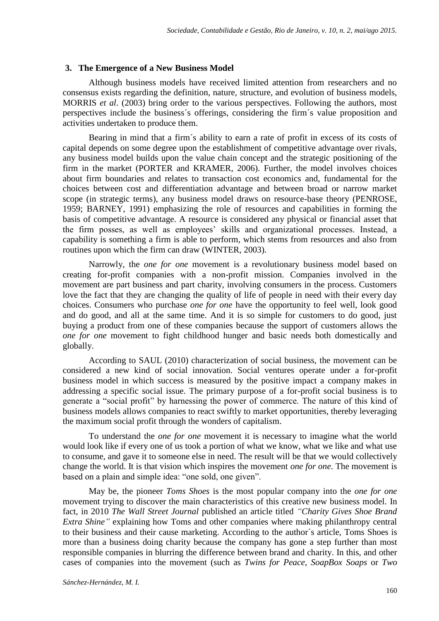### **3. The Emergence of a New Business Model**

Although business models have received limited attention from researchers and no consensus exists regarding the definition, nature, structure, and evolution of business models, MORRIS *et al*. (2003) bring order to the various perspectives. Following the authors, most perspectives include the business´s offerings, considering the firm´s value proposition and activities undertaken to produce them.

Bearing in mind that a firm´s ability to earn a rate of profit in excess of its costs of capital depends on some degree upon the establishment of competitive advantage over rivals, any business model builds upon the value chain concept and the strategic positioning of the firm in the market (PORTER and KRAMER, 2006). Further, the model involves choices about firm boundaries and relates to transaction cost economics and, fundamental for the choices between cost and differentiation advantage and between broad or narrow market scope (in strategic terms), any business model draws on resource-base theory (PENROSE, 1959; BARNEY, 1991) emphasizing the role of resources and capabilities in forming the basis of competitive advantage. A resource is considered any physical or financial asset that the firm posses, as well as employees' skills and organizational processes. Instead, a capability is something a firm is able to perform, which stems from resources and also from routines upon which the firm can draw (WINTER, 2003).

Narrowly, the *one for one* movement is a revolutionary business model based on creating for-profit companies with a non-profit mission. Companies involved in the movement are part business and part charity, involving consumers in the process. Customers love the fact that they are changing the quality of life of people in need with their every day choices. Consumers who purchase *one for one* have the opportunity to feel well, look good and do good, and all at the same time. And it is so simple for customers to do good, just buying a product from one of these companies because the support of customers allows the *one for one* movement to fight childhood hunger and basic needs both domestically and globally.

According to SAUL (2010) characterization of social business, the movement can be considered a new kind of social innovation. Social ventures operate under a for-profit business model in which success is measured by the positive impact a company makes in addressing a specific social issue. The primary purpose of a for-profit social business is to generate a "social profit" by harnessing the power of commerce. The nature of this kind of business models allows companies to react swiftly to market opportunities, thereby leveraging the maximum social profit through the wonders of capitalism.

To understand the *one for one* movement it is necessary to imagine what the world would look like if every one of us took a portion of what we know, what we like and what use to consume, and gave it to someone else in need. The result will be that we would collectively change the world. It is that vision which inspires the movement *one for one*. The movement is based on a plain and simple idea: "one sold, one given".

May be, the pioneer *Toms Shoes* is the most popular company into the *one for one* movement trying to discover the main characteristics of this creative new business model. In fact, in 2010 *The Wall Street Journal* published an article titled *"Charity Gives Shoe Brand Extra Shine"* explaining how Toms and other companies where making philanthropy central to their business and their cause marketing. According to the author´s article, Toms Shoes is more than a business doing charity because the company has gone a step further than most responsible companies in blurring the difference between brand and charity. In this, and other cases of companies into the movement (such as *Twins for Peace*, *SoapBox Soaps* or *Two*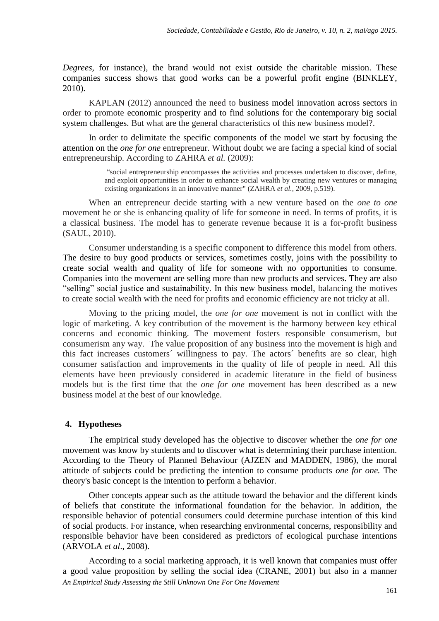*Degrees,* for instance), the brand would not exist outside the charitable mission. These companies success shows that good works can be a powerful profit engine (BINKLEY, 2010).

KAPLAN (2012) announced the need to business model innovation across sectors in order to promote economic prosperity and to find solutions for the contemporary big social system challenges. But what are the general characteristics of this new business model?.

In order to delimitate the specific components of the model we start by focusing the attention on the *one for one* entrepreneur. Without doubt we are facing a special kind of social entrepreneurship. According to ZAHRA *et al.* (2009):

> "social entrepreneurship encompasses the activities and processes undertaken to discover, define, and exploit opportunities in order to enhance social wealth by creating new ventures or managing existing organizations in an innovative manner" (ZAHRA *et al.*, 2009, p.519).

When an entrepreneur decide starting with a new venture based on the *one to one* movement he or she is enhancing quality of life for someone in need. In terms of profits, it is a classical business. The model has to generate revenue because it is a for-profit business (SAUL, 2010).

Consumer understanding is a specific component to difference this model from others. The desire to buy good products or services, sometimes costly, joins with the possibility to create social wealth and quality of life for someone with no opportunities to consume. Companies into the movement are selling more than new products and services. They are also "selling" social justice and sustainability. In this new business model, balancing the motives to create social wealth with the need for profits and economic efficiency are not tricky at all.

Moving to the pricing model, the *one for one* movement is not in conflict with the logic of marketing. A key contribution of the movement is the harmony between key ethical concerns and economic thinking. The movement fosters responsible consumerism, but consumerism any way. The value proposition of any business into the movement is high and this fact increases customers´ willingness to pay. The actors´ benefits are so clear, high consumer satisfaction and improvements in the quality of life of people in need. All this elements have been previously considered in academic literature in the field of business models but is the first time that the *one for one* movement has been described as a new business model at the best of our knowledge.

#### **4. Hypotheses**

The empirical study developed has the objective to discover whether the *one for one*  movement was know by students and to discover what is determining their purchase intention. According to the Theory of Planned Behaviour (AJZEN and MADDEN, 1986), the moral attitude of subjects could be predicting the intention to consume products *one for one.* The theory's basic concept is the intention to perform a behavior.

Other concepts appear such as the attitude toward the behavior and the different kinds of beliefs that constitute the informational foundation for the behavior. In addition, the responsible behavior of potential consumers could determine purchase intention of this kind of social products. For instance, when researching environmental concerns, responsibility and responsible behavior have been considered as predictors of ecological purchase intentions (ARVOLA *et al*., 2008).

*An Empirical Study Assessing the Still Unknown One For One Movement* According to a social marketing approach, it is well known that companies must offer a good value proposition by selling the social idea (CRANE, 2001) but also in a manner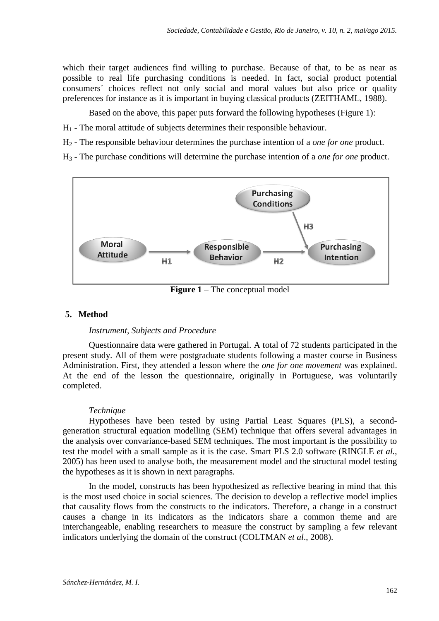which their target audiences find willing to purchase. Because of that, to be as near as possible to real life purchasing conditions is needed. In fact, social product potential consumers´ choices reflect not only social and moral values but also price or quality preferences for instance as it is important in buying classical products (ZEITHAML, 1988).

Based on the above, this paper puts forward the following hypotheses (Figure 1):

- $H<sub>1</sub>$  The moral attitude of subjects determines their responsible behaviour.
- H<sup>2</sup> The responsible behaviour determines the purchase intention of a *one for one* product.
- H<sup>3</sup> The purchase conditions will determine the purchase intention of a *one for one* product.



**Figure 1** – The conceptual model

## **5. Method**

## *Instrument, Subjects and Procedure*

Questionnaire data were gathered in Portugal. A total of 72 students participated in the present study. All of them were postgraduate students following a master course in Business Administration. First, they attended a lesson where the *one for one movement* was explained. At the end of the lesson the questionnaire, originally in Portuguese, was voluntarily completed.

## *Technique*

Hypotheses have been tested by using Partial Least Squares (PLS), a secondgeneration structural equation modelling (SEM) technique that offers several advantages in the analysis over convariance-based SEM techniques. The most important is the possibility to test the model with a small sample as it is the case. Smart PLS 2.0 software (RINGLE *et al.*, 2005) has been used to analyse both, the measurement model and the structural model testing the hypotheses as it is shown in next paragraphs.

In the model, constructs has been hypothesized as reflective bearing in mind that this is the most used choice in social sciences. The decision to develop a reflective model implies that causality flows from the constructs to the indicators. Therefore, a change in a construct causes a change in its indicators as the indicators share a common theme and are interchangeable, enabling researchers to measure the construct by sampling a few relevant indicators underlying the domain of the construct (COLTMAN *et al*., 2008).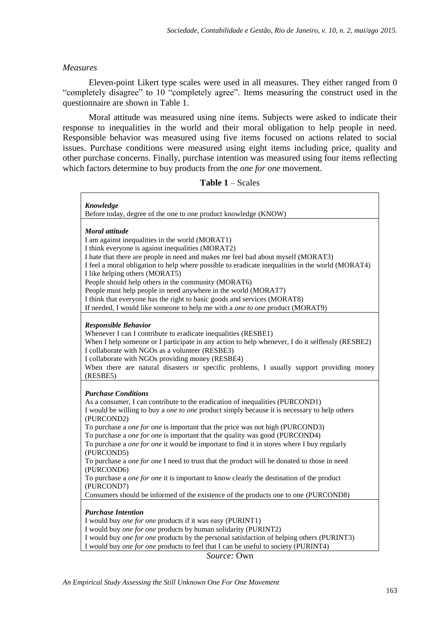#### *Measures*

Eleven-point Likert type scales were used in all measures. They either ranged from 0 "completely disagree" to 10 "completely agree". Items measuring the construct used in the questionnaire are shown in Table 1.

Moral attitude was measured using nine items. Subjects were asked to indicate their response to inequalities in the world and their moral obligation to help people in need. Responsible behavior was measured using five items focused on actions related to social issues. Purchase conditions were measured using eight items including price, quality and other purchase concerns. Finally, purchase intention was measured using four items reflecting which factors determine to buy products from the *one for one* movement.

## **Table 1** – Scales

| Knowledge<br>Before today, degree of the one to one product knowledge (KNOW)                                                                                                                                                                                                                                                                                                                                                                                                                                                                                                                                                                                                                                                                                                                                                      |
|-----------------------------------------------------------------------------------------------------------------------------------------------------------------------------------------------------------------------------------------------------------------------------------------------------------------------------------------------------------------------------------------------------------------------------------------------------------------------------------------------------------------------------------------------------------------------------------------------------------------------------------------------------------------------------------------------------------------------------------------------------------------------------------------------------------------------------------|
| Moral attitude<br>I am against inequalities in the world (MORAT1)<br>I think everyone is against inequalities (MORAT2)<br>I hate that there are people in need and makes me feel bad about myself (MORAT3)<br>I feel a moral obligation to help where possible to eradicate inequalities in the world (MORAT4)<br>I like helping others (MORAT5)<br>People should help others in the community (MORAT6)<br>People must help people in need anywhere in the world (MORAT7)<br>I think that everyone has the right to basic goods and services (MORAT8)<br>If needed, I would like someone to help me with a <i>one to one</i> product (MORAT9)                                                                                                                                                                                     |
| <b>Responsible Behavior</b><br>Whenever I can I contribute to eradicate inequalities (RESBE1)<br>When I help someone or I participate in any action to help whenever, I do it selflessly (RESBE2)<br>I collaborate with NGOs as a volunteer (RESBE3)<br>I collaborate with NGOs providing money (RESBE4)<br>When there are natural disasters or specific problems, I usually support providing money<br>(RESBE5)                                                                                                                                                                                                                                                                                                                                                                                                                  |
| <b>Purchase Conditions</b><br>As a consumer, I can contribute to the eradication of inequalities (PURCOND1)<br>I would be willing to buy a one to one product simply because it is necessary to help others<br>(PURCOND2)<br>To purchase a <i>one for one</i> is important that the price was not high (PURCOND3)<br>To purchase a <i>one for one</i> is important that the quality was good (PURCOND4)<br>To purchase a one for one it would be important to find it in stores where I buy regularly<br>(PURCOND5)<br>To purchase a one for one I need to trust that the product will be donated to those in need<br>(PURCOND6)<br>To purchase a one for one it is important to know clearly the destination of the product<br>(PURCOND7)<br>Consumers should be informed of the existence of the products one to one (PURCOND8) |
| <b>Purchase Intention</b><br>I would buy one for one products if it was easy (PURINT1)<br>I would buy one for one products by human solidarity (PURINT2)<br>I would buy one for one products by the personal satisfaction of helping others (PURINT3)<br>I would buy one for one products to feel that I can be useful to society (PURINT4)                                                                                                                                                                                                                                                                                                                                                                                                                                                                                       |

*Source:* Own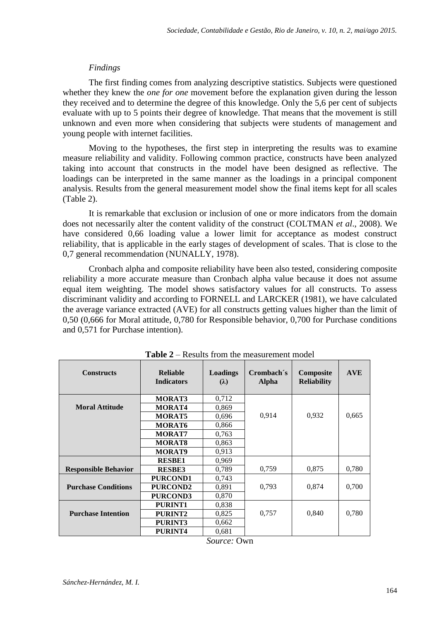## *Findings*

The first finding comes from analyzing descriptive statistics. Subjects were questioned whether they knew the *one for one* movement before the explanation given during the lesson they received and to determine the degree of this knowledge. Only the 5,6 per cent of subjects evaluate with up to 5 points their degree of knowledge. That means that the movement is still unknown and even more when considering that subjects were students of management and young people with internet facilities.

Moving to the hypotheses, the first step in interpreting the results was to examine measure reliability and validity. Following common practice, constructs have been analyzed taking into account that constructs in the model have been designed as reflective. The loadings can be interpreted in the same manner as the loadings in a principal component analysis. Results from the general measurement model show the final items kept for all scales (Table 2).

It is remarkable that exclusion or inclusion of one or more indicators from the domain does not necessarily alter the content validity of the construct (COLTMAN *et al*., 2008). We have considered 0,66 loading value a lower limit for acceptance as modest construct reliability, that is applicable in the early stages of development of scales. That is close to the 0,7 general recommendation (NUNALLY, 1978).

Cronbach alpha and composite reliability have been also tested, considering composite reliability a more accurate measure than Cronbach alpha value because it does not assume equal item weighting. The model shows satisfactory values for all constructs. To assess discriminant validity and according to FORNELL and LARCKER (1981), we have calculated the average variance extracted (AVE) for all constructs getting values higher than the limit of 0,50 (0,666 for Moral attitude, 0,780 for Responsible behavior, 0,700 for Purchase conditions and 0,571 for Purchase intention).

| <b>Constructs</b>           | <b>Reliable</b><br><b>Indicators</b> | Loadings<br>$(\lambda)$ | Crombach's<br><b>Alpha</b> | Composite<br><b>Reliability</b> | <b>AVE</b> |
|-----------------------------|--------------------------------------|-------------------------|----------------------------|---------------------------------|------------|
|                             | <b>MORAT3</b>                        | 0,712                   |                            |                                 |            |
| <b>Moral Attitude</b>       | <b>MORAT4</b>                        | 0,869                   |                            |                                 |            |
|                             | <b>MORAT5</b>                        | 0,696                   | 0,914                      | 0,932                           | 0,665      |
|                             | <b>MORAT6</b>                        | 0,866                   |                            |                                 |            |
|                             | <b>MORAT7</b>                        | 0.763                   |                            |                                 |            |
|                             | <b>MORAT8</b>                        | 0,863                   |                            |                                 |            |
|                             | <b>MORAT9</b>                        | 0.913                   |                            |                                 |            |
|                             | <b>RESBE1</b>                        | 0,969                   |                            |                                 |            |
| <b>Responsible Behavior</b> | <b>RESBE3</b>                        | 0,789                   | 0,759                      | 0,875                           | 0,780      |
|                             | <b>PURCOND1</b>                      | 0,743                   |                            |                                 |            |
| <b>Purchase Conditions</b>  | <b>PURCOND2</b>                      | 0,891                   | 0,793                      | 0,874                           | 0,700      |
|                             | <b>PURCOND3</b>                      | 0,870                   |                            |                                 |            |
|                             | <b>PURINT1</b>                       | 0,838                   |                            |                                 |            |
| <b>Purchase Intention</b>   | <b>PURINT2</b>                       | 0,825                   | 0,757                      | 0,840                           | 0.780      |
|                             | <b>PURINT3</b>                       | 0,662                   |                            |                                 |            |
|                             | <b>PURINT4</b>                       | 0,681                   |                            |                                 |            |

**Table 2** – Results from the measurement model

*Source:* Own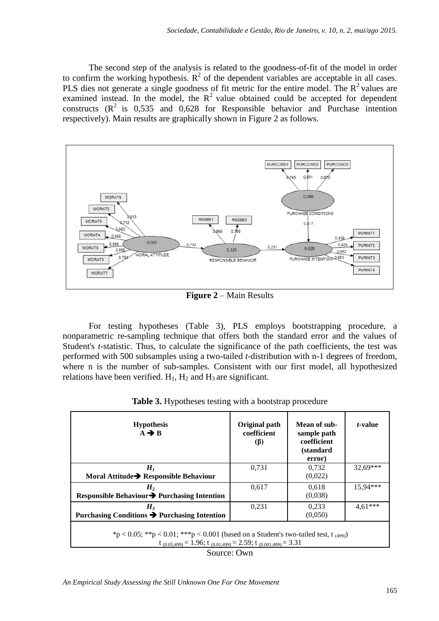The second step of the analysis is related to the goodness-of-fit of the model in order to confirm the working hypothesis.  $R^2$  of the dependent variables are acceptable in all cases. PLS dies not generate a single goodness of fit metric for the entire model. The  $R^2$  values are examined instead. In the model, the  $R^2$  value obtained could be accepted for dependent constructs  $(R^2$  is 0,535 and 0,628 for Responsible behavior and Purchase intention respectively). Main results are graphically shown in Figure 2 as follows.



**Figure 2** – Main Results

For testing hypotheses (Table 3), PLS employs bootstrapping procedure, a nonparametric re-sampling technique that offers both the standard error and the values of Student's *t*-statistic. Thus, to calculate the significance of the path coefficients, the test was performed with 500 subsamples using a two-tailed *t*-distribution with n-1 degrees of freedom, where n is the number of sub-samples. Consistent with our first model, all hypothesized relations have been verified.  $H_1$ ,  $H_2$  and  $H_3$  are significant.

| <b>Hypothesis</b><br>$A \rightarrow B$                                                                                                                                                       | Original path<br>coefficient<br>$(\beta)$ | Mean of sub-<br>sample path<br>coefficient<br><i>(standard)</i><br>error) | <i>t</i> -value |  |  |  |
|----------------------------------------------------------------------------------------------------------------------------------------------------------------------------------------------|-------------------------------------------|---------------------------------------------------------------------------|-----------------|--|--|--|
| H <sub>1</sub><br>Moral Attitude Responsible Behaviour                                                                                                                                       | 0,731                                     | 0.732<br>(0,022)                                                          | $32,69***$      |  |  |  |
| H <sub>2</sub><br>Responsible Behaviour→ Purchasing Intention                                                                                                                                | 0,617                                     | 0.618<br>(0,038)                                                          | 15,94***        |  |  |  |
| H <sub>3</sub><br>Purchasing Conditions $\rightarrow$ Purchasing Intention                                                                                                                   | 0,231                                     | 0.233<br>(0,050)                                                          | $4,61***$       |  |  |  |
| *p < 0.05; **p < 0.01; ***p < 0.001 (based on a Student's two-tailed test, t $_{(499)}$ )<br>t <sub>(0.05:499)</sub> = 1.96; t <sub>(0.01:499)</sub> = 2.59; t <sub>(0.001:499)</sub> = 3.31 |                                           |                                                                           |                 |  |  |  |

**Table 3.** Hypotheses testing with a bootstrap procedure

Source: Own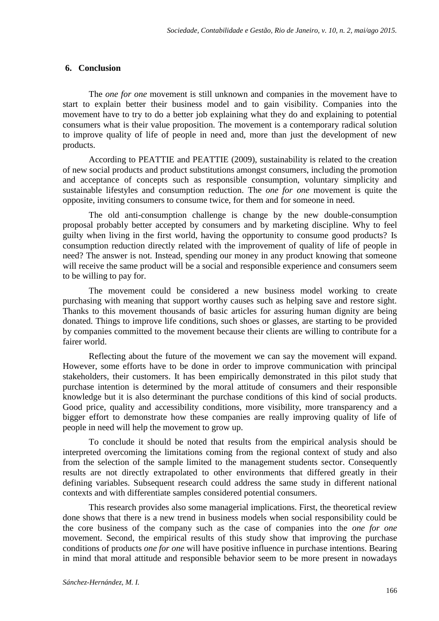#### **6. Conclusion**

The *one for one* movement is still unknown and companies in the movement have to start to explain better their business model and to gain visibility. Companies into the movement have to try to do a better job explaining what they do and explaining to potential consumers what is their value proposition. The movement is a contemporary radical solution to improve quality of life of people in need and, more than just the development of new products.

According to PEATTIE and PEATTIE (2009), sustainability is related to the creation of new social products and product substitutions amongst consumers, including the promotion and acceptance of concepts such as responsible consumption, voluntary simplicity and sustainable lifestyles and consumption reduction. The *one for one* movement is quite the opposite, inviting consumers to consume twice, for them and for someone in need.

The old anti-consumption challenge is change by the new double-consumption proposal probably better accepted by consumers and by marketing discipline. Why to feel guilty when living in the first world, having the opportunity to consume good products? Is consumption reduction directly related with the improvement of quality of life of people in need? The answer is not. Instead, spending our money in any product knowing that someone will receive the same product will be a social and responsible experience and consumers seem to be willing to pay for.

The movement could be considered a new business model working to create purchasing with meaning that support worthy causes such as helping save and restore sight. Thanks to this movement thousands of basic articles for assuring human dignity are being donated. Things to improve life conditions, such shoes or glasses, are starting to be provided by companies committed to the movement because their clients are willing to contribute for a fairer world.

Reflecting about the future of the movement we can say the movement will expand. However, some efforts have to be done in order to improve communication with principal stakeholders, their customers. It has been empirically demonstrated in this pilot study that purchase intention is determined by the moral attitude of consumers and their responsible knowledge but it is also determinant the purchase conditions of this kind of social products. Good price, quality and accessibility conditions, more visibility, more transparency and a bigger effort to demonstrate how these companies are really improving quality of life of people in need will help the movement to grow up.

To conclude it should be noted that results from the empirical analysis should be interpreted overcoming the limitations coming from the regional context of study and also from the selection of the sample limited to the management students sector. Consequently results are not directly extrapolated to other environments that differed greatly in their defining variables. Subsequent research could address the same study in different national contexts and with differentiate samples considered potential consumers.

This research provides also some managerial implications. First, the theoretical review done shows that there is a new trend in business models when social responsibility could be the core business of the company such as the case of companies into the *one for one* movement. Second, the empirical results of this study show that improving the purchase conditions of products *one for one* will have positive influence in purchase intentions. Bearing in mind that moral attitude and responsible behavior seem to be more present in nowadays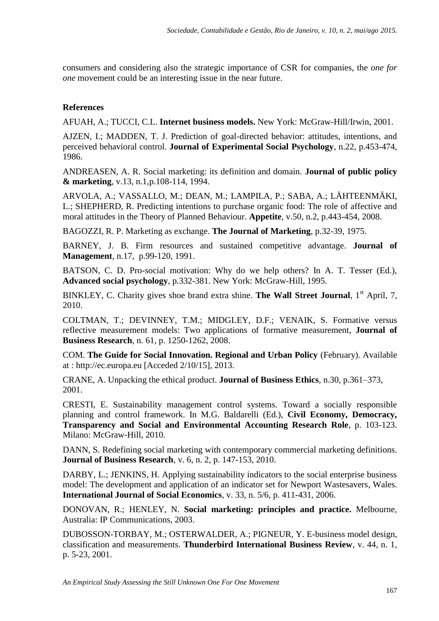consumers and considering also the strategic importance of CSR for companies, the *one for one* movement could be an interesting issue in the near future.

## **References**

AFUAH, A.; TUCCI, C.L. **Internet business models.** New York: McGraw-Hill/Irwin, 2001.

AJZEN, I.; MADDEN, T. J. Prediction of goal-directed behavior: attitudes, intentions, and perceived behavioral control. **Journal of Experimental Social Psychology**, n.22, p.453-474, 1986.

ANDREASEN, A. R. Social marketing: its definition and domain. **Journal of public policy & marketing**, v.13, n.1,p.108-114, 1994.

ARVOLA, A.; VASSALLO, M.; DEAN, M.; LAMPILA, P.; SABA, A.; LÄHTEENMÄKI, L.; SHEPHERD, R. Predicting intentions to purchase organic food: The role of affective and moral attitudes in the Theory of Planned Behaviour. **Appetite**, v.50, n.2, p.443-454, 2008.

BAGOZZI, R. P. Marketing as exchange. **The Journal of Marketing**, p.32-39, 1975.

BARNEY, J. B. Firm resources and sustained competitive advantage. **Journal of Management**, n.17, p.99-120, 1991.

BATSON, C. D. Pro-social motivation: Why do we help others? In A. T. Tesser (Ed.), **Advanced social psychology***,* p*.*332-381. New York: McGraw-Hill, 1995.

BINKLEY, C. Charity gives shoe brand extra shine. **The Wall Street Journal**, 1<sup>st</sup> April, 7, 2010.

COLTMAN, T.; DEVINNEY, T.M.; MIDGLEY, D.F.; VENAIK, S. Formative versus reflective measurement models: Two applications of formative measurement, **Journal of Business Research**, n. 61, p. 1250-1262, 2008.

COM. **The Guide for Social Innovation. Regional and Urban Policy** (February). Available at : http://ec.europa.eu [Acceded 2/10/15], 2013.

CRANE, A. Unpacking the ethical product. **Journal of Business Ethics**, n.30, p.361–373, 2001.

CRESTI, E. Sustainability management control systems. Toward a socially responsible planning and control framework. In M.G. Baldarelli (Ed.), **Civil Economy, Democracy, Transparency and Social and Environmental Accounting Research Role**, p. 103-123. Milano: McGraw-Hill, 2010.

DANN, S. Redefining social marketing with contemporary commercial marketing definitions. **Journal of Business Research**, v. 6, n. 2, p. 147-153, 2010.

DARBY, L.; JENKINS, H. Applying sustainability indicators to the social enterprise business model: The development and application of an indicator set for Newport Wastesavers, Wales. **International Journal of Social Economics**, v. 33, n. 5/6, p. 411-431, 2006.

DONOVAN, R.; HENLEY, N. **Social marketing: principles and practice.** Melbourne, Australia: IP Communications, 2003.

DUBOSSON-TORBAY, M.; OSTERWALDER, A.; PIGNEUR, Y. E-business model design, classification and measurements. **Thunderbird International Business Review**, v. 44, n. 1, p. 5-23, 2001.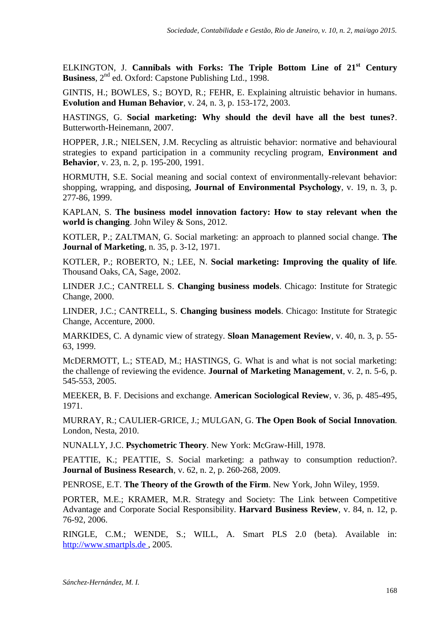ELKINGTON, J. **Cannibals with Forks: The Triple Bottom Line of 21st Century**  Business, 2<sup>nd</sup> ed. Oxford: Capstone Publishing Ltd., 1998.

GINTIS, H.; BOWLES, S.; BOYD, R.; FEHR, E. Explaining altruistic behavior in humans. **Evolution and Human Behavior**, v. 24, n. 3, p. 153-172, 2003.

HASTINGS, G. **Social marketing: Why should the devil have all the best tunes?**. Butterworth-Heinemann, 2007.

HOPPER, J.R.; NIELSEN, J.M. Recycling as altruistic behavior: normative and behavioural strategies to expand participation in a community recycling program, **Environment and Behavior**, v. 23, n. 2, p. 195-200, 1991.

HORMUTH, S.E. Social meaning and social context of environmentally-relevant behavior: shopping, wrapping, and disposing, **Journal of Environmental Psychology**, v. 19, n. 3, p. 277-86, 1999.

KAPLAN, S. **The business model innovation factory: How to stay relevant when the world is changing**. John Wiley & Sons, 2012.

KOTLER, P.; ZALTMAN, G. Social marketing: an approach to planned social change. **The Journal of Marketing**, n. 35, p. 3-12, 1971.

KOTLER, P.; ROBERTO, N.; LEE, N. **Social marketing: Improving the quality of life***.* Thousand Oaks, CA, Sage, 2002.

LINDER J.C.; CANTRELL S. **Changing business models**. Chicago: Institute for Strategic Change, 2000.

LINDER, J.C.; CANTRELL, S. **Changing business models**. Chicago: Institute for Strategic Change, Accenture, 2000.

MARKIDES, C. A dynamic view of strategy. **Sloan Management Review**, v. 40, n. 3, p. 55- 63, 1999.

McDERMOTT, L.; STEAD, M.; HASTINGS, G. What is and what is not social marketing: the challenge of reviewing the evidence. **Journal of Marketing Management**, v. 2, n. 5-6, p. 545-553, 2005.

MEEKER, B. F. Decisions and exchange. **American Sociological Review**, v. 36, p. 485-495, 1971.

MURRAY, R.; CAULIER-GRICE, J.; MULGAN, G. **The Open Book of Social Innovation***.*  London, Nesta, 2010.

NUNALLY, J.C. **Psychometric Theory***.* New York: McGraw-Hill, 1978.

PEATTIE, K.; PEATTIE, S. Social marketing: a pathway to consumption reduction?. **Journal of Business Research**, v. 62, n. 2, p. 260-268, 2009.

PENROSE, E.T. **The Theory of the Growth of the Firm**. New York, John Wiley, 1959.

PORTER, M.E.; KRAMER, M.R. Strategy and Society: The Link between Competitive Advantage and Corporate Social Responsibility. **Harvard Business Review***,* v. 84, n. 12, p. 76-92, 2006.

RINGLE, C.M.; WENDE, S.; WILL, A. Smart PLS 2.0 (beta). Available in: [http://www.smartpls.de](http://www.smartpls.de/) , 2005.